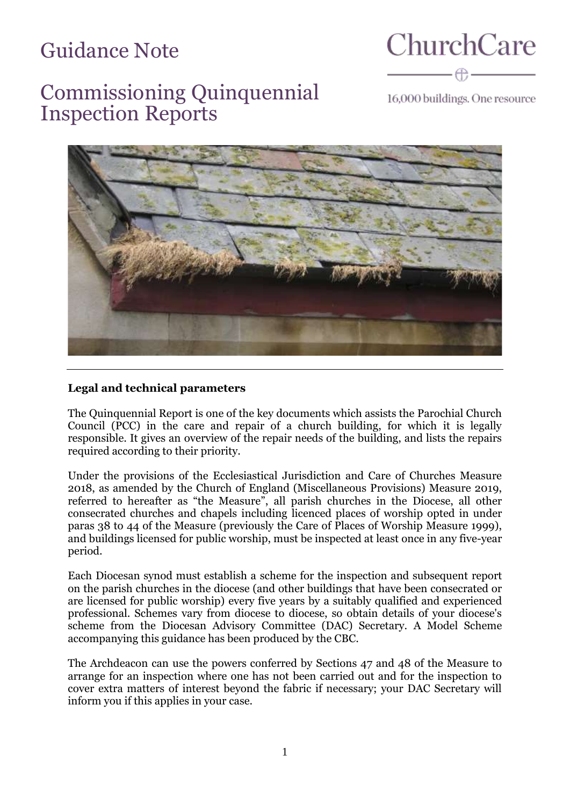# Guidance Note

**ChurchCare** 

## Commissioning Quinquennial Inspection Reports

16,000 buildings. One resource



#### **Legal and technical parameters**

The Quinquennial Report is one of the key documents which assists the Parochial Church Council (PCC) in the care and repair of a church building, for which it is legally responsible. It gives an overview of the repair needs of the building, and lists the repairs required according to their priority.

Under the provisions of the Ecclesiastical Jurisdiction and Care of Churches Measure 2018, as amended by the Church of England (Miscellaneous Provisions) Measure 2019, referred to hereafter as "the Measure", all parish churches in the Diocese, all other consecrated churches and chapels including licenced places of worship opted in under paras 38 to 44 of the Measure (previously the Care of Places of Worship Measure 1999), and buildings licensed for public worship, must be inspected at least once in any five-year period.

Each Diocesan synod must establish a scheme for the inspection and subsequent report on the parish churches in the diocese (and other buildings that have been consecrated or are licensed for public worship) every five years by a suitably qualified and experienced professional. Schemes vary from diocese to diocese, so obtain details of your diocese's scheme from the Diocesan Advisory Committee (DAC) Secretary. A Model Scheme accompanying this guidance has been produced by the CBC.

The Archdeacon can use the powers conferred by Sections 47 and 48 of the Measure to arrange for an inspection where one has not been carried out and for the inspection to cover extra matters of interest beyond the fabric if necessary; your DAC Secretary will inform you if this applies in your case.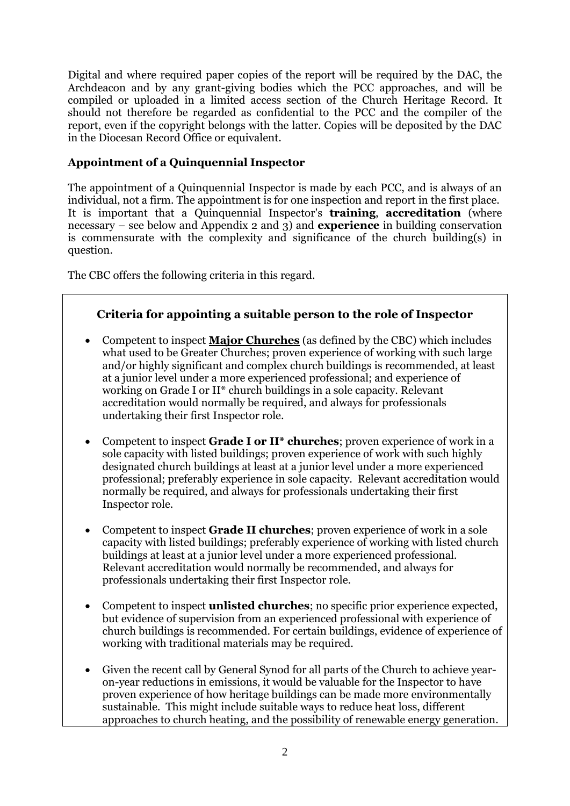Digital and where required paper copies of the report will be required by the DAC, the Archdeacon and by any grant-giving bodies which the PCC approaches, and will be compiled or uploaded in a limited access section of the Church Heritage Record. It should not therefore be regarded as confidential to the PCC and the compiler of the report, even if the copyright belongs with the latter. Copies will be deposited by the DAC in the Diocesan Record Office or equivalent.

## **Appointment of a Quinquennial Inspector**

The appointment of a Quinquennial Inspector is made by each PCC, and is always of an individual, not a firm. The appointment is for one inspection and report in the first place. It is important that a Quinquennial Inspector's **training**, **accreditation** (where necessary – see below and Appendix 2 and 3) and **experience** in building conservation is commensurate with the complexity and significance of the church building(s) in question.

The CBC offers the following criteria in this regard.

## **Criteria for appointing a suitable person to the role of Inspector**

- Competent to inspect **Major Churches** (as defined by the CBC) which includes what used to be Greater Churches; proven experience of working with such large and/or highly significant and complex church buildings is recommended, at least at a junior level under a more experienced professional; and experience of working on Grade I or II\* church buildings in a sole capacity. Relevant accreditation would normally be required, and always for professionals undertaking their first Inspector role.
- Competent to inspect **Grade I or II\* churches**; proven experience of work in a sole capacity with listed buildings; proven experience of work with such highly designated church buildings at least at a junior level under a more experienced professional; preferably experience in sole capacity. Relevant accreditation would normally be required, and always for professionals undertaking their first Inspector role.
- Competent to inspect **Grade II churches**; proven experience of work in a sole capacity with listed buildings; preferably experience of working with listed church buildings at least at a junior level under a more experienced professional. Relevant accreditation would normally be recommended, and always for professionals undertaking their first Inspector role.
- Competent to inspect **unlisted churches**; no specific prior experience expected, but evidence of supervision from an experienced professional with experience of church buildings is recommended. For certain buildings, evidence of experience of working with traditional materials may be required.
- Given the recent call by General Synod for all parts of the Church to achieve yearon-year reductions in emissions, it would be valuable for the Inspector to have proven experience of how heritage buildings can be made more environmentally sustainable. This might include suitable ways to reduce heat loss, different approaches to church heating, and the possibility of renewable energy generation.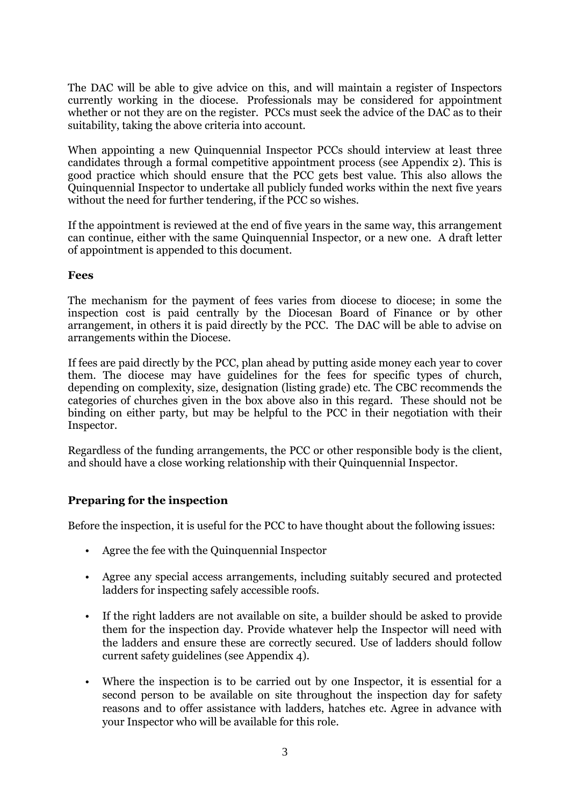The DAC will be able to give advice on this, and will maintain a register of Inspectors currently working in the diocese. Professionals may be considered for appointment whether or not they are on the register. PCCs must seek the advice of the DAC as to their suitability, taking the above criteria into account.

When appointing a new Quinquennial Inspector PCCs should interview at least three candidates through a formal competitive appointment process (see Appendix 2). This is good practice which should ensure that the PCC gets best value. This also allows the Quinquennial Inspector to undertake all publicly funded works within the next five years without the need for further tendering, if the PCC so wishes.

If the appointment is reviewed at the end of five years in the same way, this arrangement can continue, either with the same Quinquennial Inspector, or a new one. A draft letter of appointment is appended to this document.

#### **Fees**

The mechanism for the payment of fees varies from diocese to diocese; in some the inspection cost is paid centrally by the Diocesan Board of Finance or by other arrangement, in others it is paid directly by the PCC. The DAC will be able to advise on arrangements within the Diocese.

If fees are paid directly by the PCC, plan ahead by putting aside money each year to cover them. The diocese may have guidelines for the fees for specific types of church, depending on complexity, size, designation (listing grade) etc. The CBC recommends the categories of churches given in the box above also in this regard. These should not be binding on either party, but may be helpful to the PCC in their negotiation with their Inspector.

Regardless of the funding arrangements, the PCC or other responsible body is the client, and should have a close working relationship with their Quinquennial Inspector.

#### **Preparing for the inspection**

Before the inspection, it is useful for the PCC to have thought about the following issues:

- Agree the fee with the Quinquennial Inspector
- Agree any special access arrangements, including suitably secured and protected ladders for inspecting safely accessible roofs.
- If the right ladders are not available on site, a builder should be asked to provide them for the inspection day. Provide whatever help the Inspector will need with the ladders and ensure these are correctly secured. Use of ladders should follow current safety guidelines (see Appendix 4).
- Where the inspection is to be carried out by one Inspector, it is essential for a second person to be available on site throughout the inspection day for safety reasons and to offer assistance with ladders, hatches etc. Agree in advance with your Inspector who will be available for this role.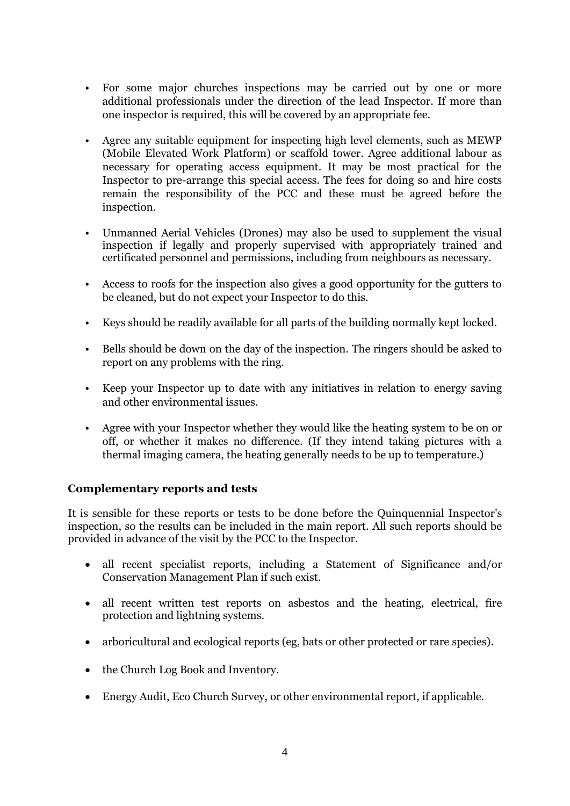- For some major churches inspections may be carried out by one or more additional professionals under the direction of the lead Inspector. If more than one inspector is required, this will be covered by an appropriate fee.
- Agree any suitable equipment for inspecting high level elements, such as MEWP (Mobile Elevated Work Platform) or scaffold tower. Agree additional labour as necessary for operating access equipment. It may be most practical for the Inspector to pre-arrange this special access. The fees for doing so and hire costs remain the responsibility of the PCC and these must be agreed before the inspection.
- Unmanned Aerial Vehicles (Drones) may also be used to supplement the visual inspection if legally and properly supervised with appropriately trained and certificated personnel and permissions, including from neighbours as necessary.
- Access to roofs for the inspection also gives a good opportunity for the gutters to be cleaned, but do not expect your Inspector to do this.
- Keys should be readily available for all parts of the building normally kept locked.
- Bells should be down on the day of the inspection. The ringers should be asked to report on any problems with the ring.
- Keep your Inspector up to date with any initiatives in relation to energy saving and other environmental issues.
- Agree with your Inspector whether they would like the heating system to be on or off, or whether it makes no difference. (If they intend taking pictures with a thermal imaging camera, the heating generally needs to be up to temperature.)

## **Complementary reports and tests**

It is sensible for these reports or tests to be done before the Quinquennial Inspector's inspection, so the results can be included in the main report. All such reports should be provided in advance of the visit by the PCC to the Inspector.

- all recent specialist reports, including a Statement of Significance and/or Conservation Management Plan if such exist.
- all recent written test reports on asbestos and the heating, electrical, fire protection and lightning systems.
- arboricultural and ecological reports (eg, bats or other protected or rare species).
- the Church Log Book and Inventory.
- Energy Audit, Eco Church Survey, or other environmental report, if applicable.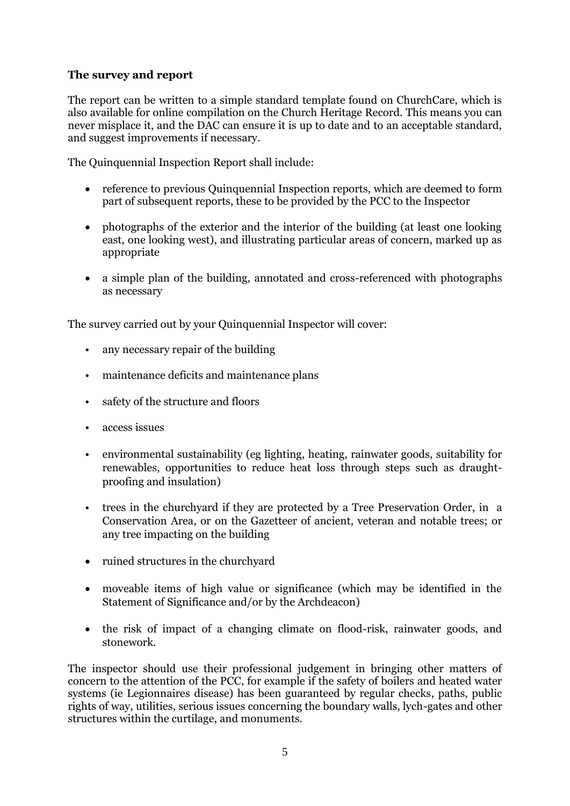#### **The survey and report**

The report can be written to a simple standard template found on ChurchCare, which is also available for online compilation on the Church Heritage Record. This means you can never misplace it, and the DAC can ensure it is up to date and to an acceptable standard, and suggest improvements if necessary.

The Quinquennial Inspection Report shall include:

- reference to previous Quinquennial Inspection reports, which are deemed to form part of subsequent reports, these to be provided by the PCC to the Inspector
- photographs of the exterior and the interior of the building (at least one looking east, one looking west), and illustrating particular areas of concern, marked up as appropriate
- a simple plan of the building, annotated and cross-referenced with photographs as necessary

The survey carried out by your Quinquennial Inspector will cover:

- any necessary repair of the building
- maintenance deficits and maintenance plans
- safety of the structure and floors
- access issues
- environmental sustainability (eg lighting, heating, rainwater goods, suitability for renewables, opportunities to reduce heat loss through steps such as draughtproofing and insulation)
- trees in the churchyard if they are protected by a Tree Preservation Order, in a Conservation Area, or on the Gazetteer of ancient, veteran and notable trees; or any tree impacting on the building
- ruined structures in the churchyard
- moveable items of high value or significance (which may be identified in the Statement of Significance and/or by the Archdeacon)
- the risk of impact of a changing climate on flood-risk, rainwater goods, and stonework.

The inspector should use their professional judgement in bringing other matters of concern to the attention of the PCC, for example if the safety of boilers and heated water systems (ie Legionnaires disease) has been guaranteed by regular checks, paths, public rights of way, utilities, serious issues concerning the boundary walls, lych-gates and other structures within the curtilage, and monuments.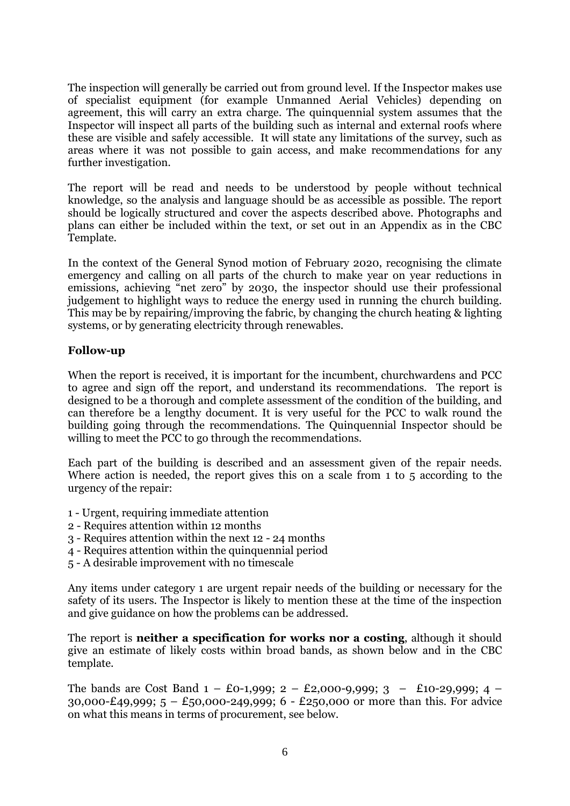The inspection will generally be carried out from ground level. If the Inspector makes use of specialist equipment (for example Unmanned Aerial Vehicles) depending on agreement, this will carry an extra charge. The quinquennial system assumes that the Inspector will inspect all parts of the building such as internal and external roofs where these are visible and safely accessible. It will state any limitations of the survey, such as areas where it was not possible to gain access, and make recommendations for any further investigation.

The report will be read and needs to be understood by people without technical knowledge, so the analysis and language should be as accessible as possible. The report should be logically structured and cover the aspects described above. Photographs and plans can either be included within the text, or set out in an Appendix as in the CBC Template.

In the context of the General Synod motion of February 2020, recognising the climate emergency and calling on all parts of the church to make year on year reductions in emissions, achieving "net zero" by 2030, the inspector should use their professional judgement to highlight ways to reduce the energy used in running the church building. This may be by repairing/improving the fabric, by changing the church heating & lighting systems, or by generating electricity through renewables.

#### **Follow-up**

When the report is received, it is important for the incumbent, churchwardens and PCC to agree and sign off the report, and understand its recommendations. The report is designed to be a thorough and complete assessment of the condition of the building, and can therefore be a lengthy document. It is very useful for the PCC to walk round the building going through the recommendations. The Quinquennial Inspector should be willing to meet the PCC to go through the recommendations.

Each part of the building is described and an assessment given of the repair needs. Where action is needed, the report gives this on a scale from 1 to 5 according to the urgency of the repair:

- 1 Urgent, requiring immediate attention
- 2 Requires attention within 12 months
- 3 Requires attention within the next 12 24 months
- 4 Requires attention within the quinquennial period
- 5 A desirable improvement with no timescale

Any items under category 1 are urgent repair needs of the building or necessary for the safety of its users. The Inspector is likely to mention these at the time of the inspection and give guidance on how the problems can be addressed.

The report is **neither a specification for works nor a costing**, although it should give an estimate of likely costs within broad bands, as shown below and in the CBC template.

The bands are Cost Band  $1 - \text{\textsterling}0 - 1,999$ ;  $2 - \text{\textsterling}2,000 - 9,999$ ;  $3 - \text{\textsterling}10 - 29,999$ ;  $4 -$ 30,000-£49,999;  $5 - £50,000-249,999$ ;  $6 - £250,000$  or more than this. For advice on what this means in terms of procurement, see below.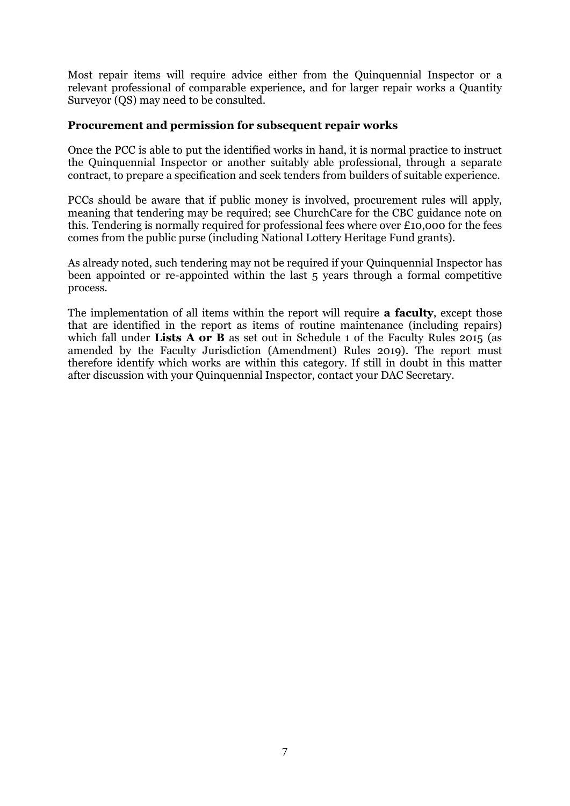Most repair items will require advice either from the Quinquennial Inspector or a relevant professional of comparable experience, and for larger repair works a Quantity Surveyor (QS) may need to be consulted.

#### **Procurement and permission for subsequent repair works**

Once the PCC is able to put the identified works in hand, it is normal practice to instruct the Quinquennial Inspector or another suitably able professional, through a separate contract, to prepare a specification and seek tenders from builders of suitable experience.

PCCs should be aware that if public money is involved, procurement rules will apply, meaning that tendering may be required; see ChurchCare for the CBC guidance note on this. Tendering is normally required for professional fees where over £10,000 for the fees comes from the public purse (including National Lottery Heritage Fund grants).

As already noted, such tendering may not be required if your Quinquennial Inspector has been appointed or re-appointed within the last 5 years through a formal competitive process.

The implementation of all items within the report will require **a faculty**, except those that are identified in the report as items of routine maintenance (including repairs) which fall under **Lists A or B** as set out in Schedule 1 of the Faculty Rules 2015 (as amended by the Faculty Jurisdiction (Amendment) Rules 2019). The report must therefore identify which works are within this category. If still in doubt in this matter after discussion with your Quinquennial Inspector, contact your DAC Secretary.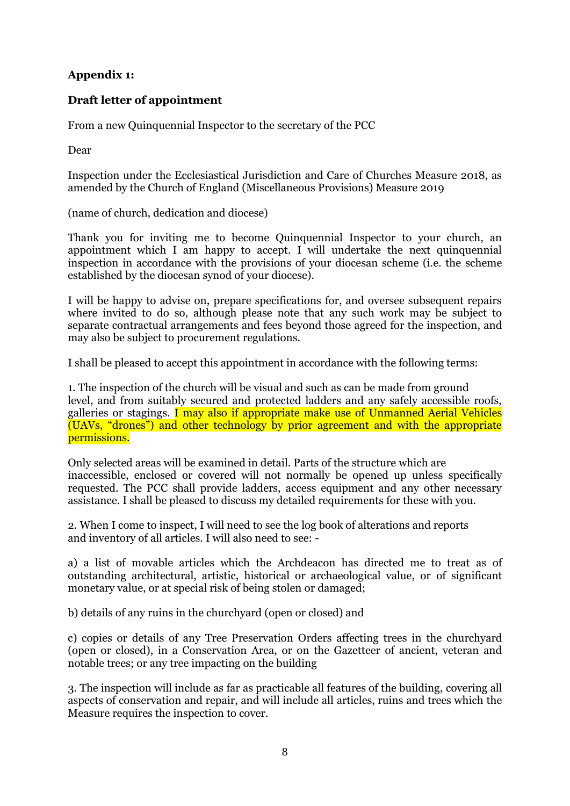## **Appendix 1:**

#### **Draft letter of appointment**

From a new Quinquennial Inspector to the secretary of the PCC

Dear

Inspection under the Ecclesiastical Jurisdiction and Care of Churches Measure 2018, as amended by the Church of England (Miscellaneous Provisions) Measure 2019

(name of church, dedication and diocese)

Thank you for inviting me to become Quinquennial Inspector to your church, an appointment which I am happy to accept. I will undertake the next quinquennial inspection in accordance with the provisions of your diocesan scheme (i.e. the scheme established by the diocesan synod of your diocese).

I will be happy to advise on, prepare specifications for, and oversee subsequent repairs where invited to do so, although please note that any such work may be subject to separate contractual arrangements and fees beyond those agreed for the inspection, and may also be subject to procurement regulations.

I shall be pleased to accept this appointment in accordance with the following terms:

1. The inspection of the church will be visual and such as can be made from ground level, and from suitably secured and protected ladders and any safely accessible roofs, galleries or stagings. I may also if appropriate make use of Unmanned Aerial Vehicles (UAVs, "drones") and other technology by prior agreement and with the appropriate permissions.

Only selected areas will be examined in detail. Parts of the structure which are inaccessible, enclosed or covered will not normally be opened up unless specifically requested. The PCC shall provide ladders, access equipment and any other necessary assistance. I shall be pleased to discuss my detailed requirements for these with you.

2. When I come to inspect, I will need to see the log book of alterations and reports and inventory of all articles. I will also need to see: -

a) a list of movable articles which the Archdeacon has directed me to treat as of outstanding architectural, artistic, historical or archaeological value, or of significant monetary value, or at special risk of being stolen or damaged;

b) details of any ruins in the churchyard (open or closed) and

c) copies or details of any Tree Preservation Orders affecting trees in the churchyard (open or closed), in a Conservation Area, or on the Gazetteer of ancient, veteran and notable trees; or any tree impacting on the building

3. The inspection will include as far as practicable all features of the building, covering all aspects of conservation and repair, and will include all articles, ruins and trees which the Measure requires the inspection to cover.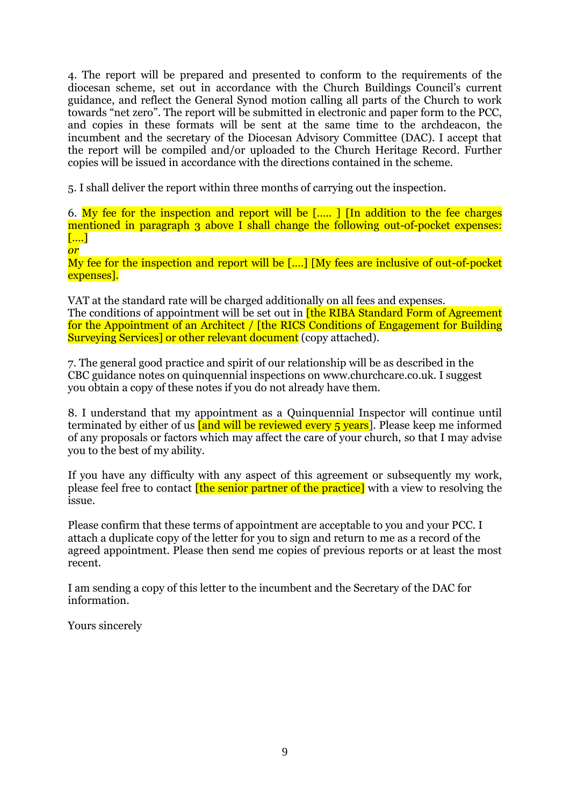4. The report will be prepared and presented to conform to the requirements of the diocesan scheme, set out in accordance with the Church Buildings Council's current guidance, and reflect the General Synod motion calling all parts of the Church to work towards "net zero". The report will be submitted in electronic and paper form to the PCC, and copies in these formats will be sent at the same time to the archdeacon, the incumbent and the secretary of the Diocesan Advisory Committee (DAC). I accept that the report will be compiled and/or uploaded to the Church Heritage Record. Further copies will be issued in accordance with the directions contained in the scheme.

5. I shall deliver the report within three months of carrying out the inspection.

6. My fee for the inspection and report will be [….. ] [In addition to the fee charges mentioned in paragraph 3 above I shall change the following out-of-pocket expenses: [….] *or*

My fee for the inspection and report will be [....] [My fees are inclusive of out-of-pocket expenses].

VAT at the standard rate will be charged additionally on all fees and expenses. The conditions of appointment will be set out in **[the RIBA Standard Form of Agreement** for the Appointment of an Architect / [the RICS Conditions of Engagement for Building Surveying Services] or other relevant document (copy attached).

7. The general good practice and spirit of our relationship will be as described in the CBC guidance notes on quinquennial inspections on www.churchcare.co.uk. I suggest you obtain a copy of these notes if you do not already have them.

8. I understand that my appointment as a Quinquennial Inspector will continue until terminated by either of us  $\int$  and will be reviewed every 5 years<sup>]</sup>. Please keep me informed of any proposals or factors which may affect the care of your church, so that I may advise you to the best of my ability.

If you have any difficulty with any aspect of this agreement or subsequently my work, please feel free to contact **[the senior partner of the practice]** with a view to resolving the issue.

Please confirm that these terms of appointment are acceptable to you and your PCC. I attach a duplicate copy of the letter for you to sign and return to me as a record of the agreed appointment. Please then send me copies of previous reports or at least the most recent.

I am sending a copy of this letter to the incumbent and the Secretary of the DAC for information.

Yours sincerely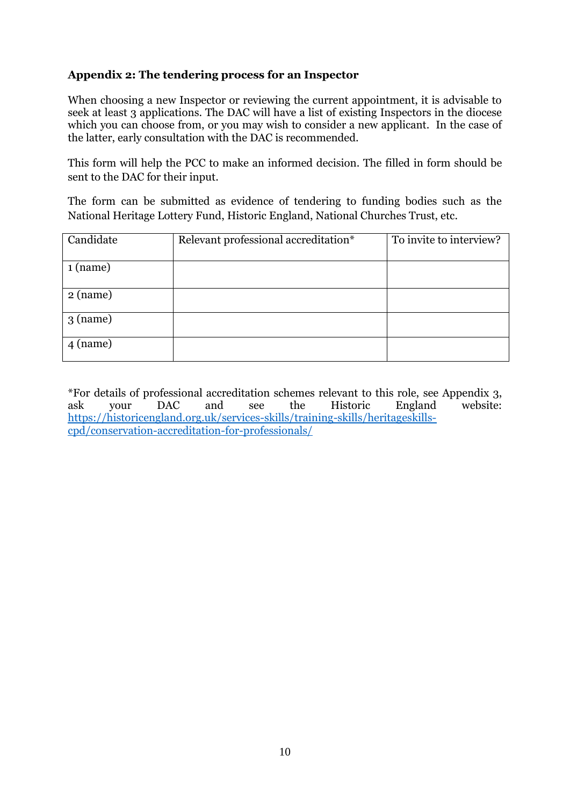#### **Appendix 2: The tendering process for an Inspector**

When choosing a new Inspector or reviewing the current appointment, it is advisable to seek at least 3 applications. The DAC will have a list of existing Inspectors in the diocese which you can choose from, or you may wish to consider a new applicant. In the case of the latter, early consultation with the DAC is recommended.

This form will help the PCC to make an informed decision. The filled in form should be sent to the DAC for their input.

The form can be submitted as evidence of tendering to funding bodies such as the National Heritage Lottery Fund, Historic England, National Churches Trust, etc.

| Candidate  | Relevant professional accreditation* | To invite to interview? |
|------------|--------------------------------------|-------------------------|
| 1 (name)   |                                      |                         |
| $2$ (name) |                                      |                         |
| $3$ (name) |                                      |                         |
| $4$ (name) |                                      |                         |

\*For details of professional accreditation schemes relevant to this role, see Appendix 3, ask your DAC and see the Historic England website: [https://historicengland.org.uk/services-skills/training-skills/heritageskills](https://historicengland.org.uk/services-skills/training-skills/heritageskills-cpd/conservation-accreditation-for-professionals/)[cpd/conservation-accreditation-for-professionals/](https://historicengland.org.uk/services-skills/training-skills/heritageskills-cpd/conservation-accreditation-for-professionals/)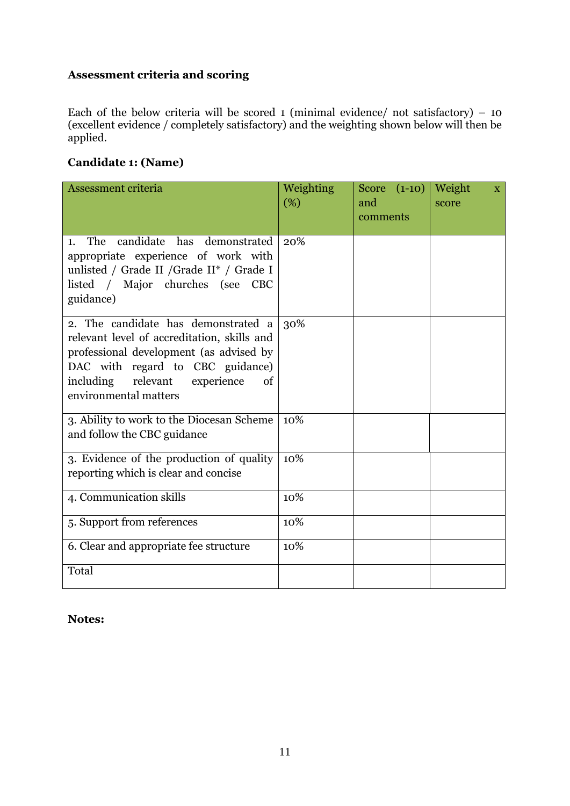## **Assessment criteria and scoring**

Each of the below criteria will be scored 1 (minimal evidence/ not satisfactory)  $-10$ (excellent evidence / completely satisfactory) and the weighting shown below will then be applied.

## **Candidate 1: (Name)**

| Assessment criteria                                                                                                                                                                                                                     | Weighting<br>(%) | Score $(1-10)$<br>and<br>comments | Weight<br>$\mathbf{X}$<br>score |
|-----------------------------------------------------------------------------------------------------------------------------------------------------------------------------------------------------------------------------------------|------------------|-----------------------------------|---------------------------------|
| candidate has demonstrated<br><b>The</b><br>1.<br>appropriate experience of work with<br>unlisted / Grade II / Grade II* / Grade I<br>listed / Major churches (see<br><b>CBC</b><br>guidance)                                           | 20%              |                                   |                                 |
| 2. The candidate has demonstrated a<br>relevant level of accreditation, skills and<br>professional development (as advised by<br>DAC with regard to CBC guidance)<br>including<br>relevant<br>experience<br>of<br>environmental matters | 30%              |                                   |                                 |
| 3. Ability to work to the Diocesan Scheme<br>and follow the CBC guidance                                                                                                                                                                | 10%              |                                   |                                 |
| 3. Evidence of the production of quality<br>reporting which is clear and concise                                                                                                                                                        | 10%              |                                   |                                 |
| 4. Communication skills                                                                                                                                                                                                                 | 10%              |                                   |                                 |
| 5. Support from references                                                                                                                                                                                                              | 10%              |                                   |                                 |
| 6. Clear and appropriate fee structure                                                                                                                                                                                                  | 10%              |                                   |                                 |
| Total                                                                                                                                                                                                                                   |                  |                                   |                                 |

#### **Notes:**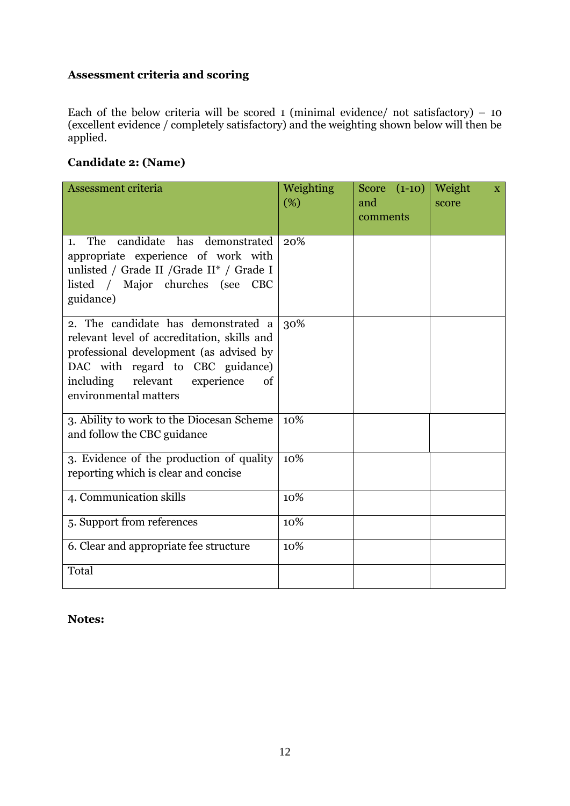## **Assessment criteria and scoring**

Each of the below criteria will be scored 1 (minimal evidence/ not satisfactory)  $-10$ (excellent evidence / completely satisfactory) and the weighting shown below will then be applied.

## **Candidate 2: (Name)**

| Assessment criteria                                                                                                                                                                                                                     | Weighting<br>(%) | Score $(1-10)$<br>and<br>comments | Weight<br>$\mathbf{X}$<br>score |
|-----------------------------------------------------------------------------------------------------------------------------------------------------------------------------------------------------------------------------------------|------------------|-----------------------------------|---------------------------------|
| candidate has demonstrated<br><b>The</b><br>1.<br>appropriate experience of work with<br>unlisted / Grade II / Grade II <sup>*</sup> / Grade I<br>listed / Major churches (see<br><b>CBC</b><br>guidance)                               | 20%              |                                   |                                 |
| 2. The candidate has demonstrated a<br>relevant level of accreditation, skills and<br>professional development (as advised by<br>DAC with regard to CBC guidance)<br>relevant<br>including<br>experience<br>of<br>environmental matters | 30%              |                                   |                                 |
| 3. Ability to work to the Diocesan Scheme<br>and follow the CBC guidance                                                                                                                                                                | 10%              |                                   |                                 |
| 3. Evidence of the production of quality<br>reporting which is clear and concise                                                                                                                                                        | 10%              |                                   |                                 |
| 4. Communication skills                                                                                                                                                                                                                 | 10%              |                                   |                                 |
| 5. Support from references                                                                                                                                                                                                              | 10%              |                                   |                                 |
| 6. Clear and appropriate fee structure                                                                                                                                                                                                  | 10%              |                                   |                                 |
| Total                                                                                                                                                                                                                                   |                  |                                   |                                 |

#### **Notes:**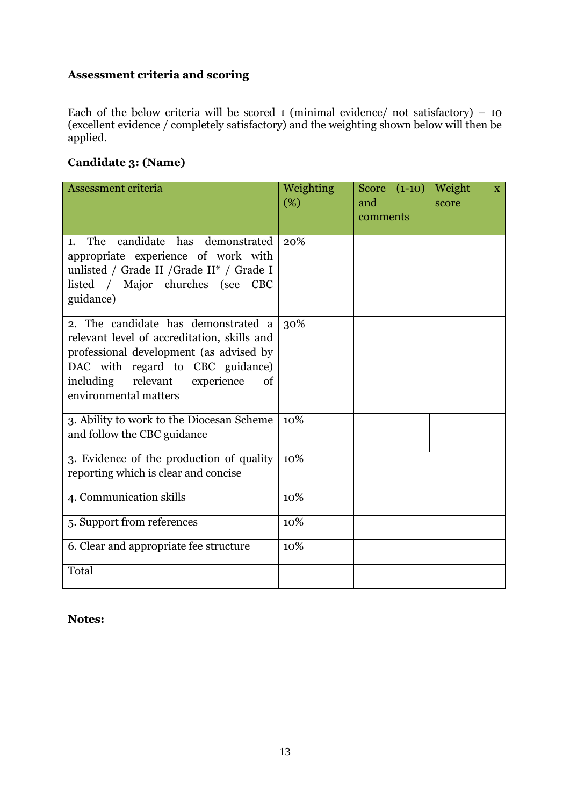## **Assessment criteria and scoring**

Each of the below criteria will be scored 1 (minimal evidence/ not satisfactory)  $-10$ (excellent evidence / completely satisfactory) and the weighting shown below will then be applied.

## **Candidate 3: (Name)**

| Assessment criteria                                                                                                                                                                                                                     | Weighting<br>(%) | Score $(1-10)$<br>and<br>comments | Weight<br>$\mathbf{X}$<br>score |
|-----------------------------------------------------------------------------------------------------------------------------------------------------------------------------------------------------------------------------------------|------------------|-----------------------------------|---------------------------------|
| candidate has demonstrated<br>The<br>1.<br>appropriate experience of work with<br>unlisted / Grade II / Grade II <sup>*</sup> / Grade I<br>listed / Major churches (see<br><b>CBC</b><br>guidance)                                      | 20%              |                                   |                                 |
| 2. The candidate has demonstrated a<br>relevant level of accreditation, skills and<br>professional development (as advised by<br>DAC with regard to CBC guidance)<br>including<br>relevant<br>experience<br>of<br>environmental matters | 30%              |                                   |                                 |
| 3. Ability to work to the Diocesan Scheme<br>and follow the CBC guidance                                                                                                                                                                | 10%              |                                   |                                 |
| 3. Evidence of the production of quality<br>reporting which is clear and concise                                                                                                                                                        | 10%              |                                   |                                 |
| 4. Communication skills                                                                                                                                                                                                                 | 10%              |                                   |                                 |
| 5. Support from references                                                                                                                                                                                                              | 10%              |                                   |                                 |
| 6. Clear and appropriate fee structure                                                                                                                                                                                                  | 10%              |                                   |                                 |
| Total                                                                                                                                                                                                                                   |                  |                                   |                                 |

#### **Notes:**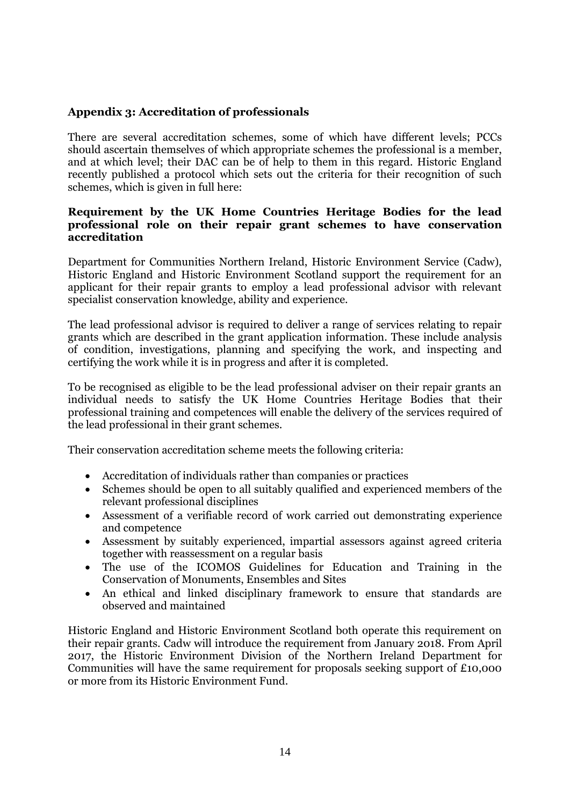#### **Appendix 3: Accreditation of professionals**

There are several accreditation schemes, some of which have different levels; PCCs should ascertain themselves of which appropriate schemes the professional is a member, and at which level; their DAC can be of help to them in this regard. Historic England recently published a protocol which sets out the criteria for their recognition of such schemes, which is given in full here:

#### **Requirement by the UK Home Countries Heritage Bodies for the lead professional role on their repair grant schemes to have conservation accreditation**

Department for Communities Northern Ireland, Historic Environment Service (Cadw), Historic England and Historic Environment Scotland support the requirement for an applicant for their repair grants to employ a lead professional advisor with relevant specialist conservation knowledge, ability and experience.

The lead professional advisor is required to deliver a range of services relating to repair grants which are described in the grant application information. These include analysis of condition, investigations, planning and specifying the work, and inspecting and certifying the work while it is in progress and after it is completed.

To be recognised as eligible to be the lead professional adviser on their repair grants an individual needs to satisfy the UK Home Countries Heritage Bodies that their professional training and competences will enable the delivery of the services required of the lead professional in their grant schemes.

Their conservation accreditation scheme meets the following criteria:

- Accreditation of individuals rather than companies or practices
- Schemes should be open to all suitably qualified and experienced members of the relevant professional disciplines
- Assessment of a verifiable record of work carried out demonstrating experience and competence
- Assessment by suitably experienced, impartial assessors against agreed criteria together with reassessment on a regular basis
- The use of the ICOMOS Guidelines for Education and Training in the Conservation of Monuments, Ensembles and Sites
- An ethical and linked disciplinary framework to ensure that standards are observed and maintained

Historic England and Historic Environment Scotland both operate this requirement on their repair grants. Cadw will introduce the requirement from January 2018. From April 2017, the Historic Environment Division of the Northern Ireland Department for Communities will have the same requirement for proposals seeking support of £10,000 or more from its Historic Environment Fund.